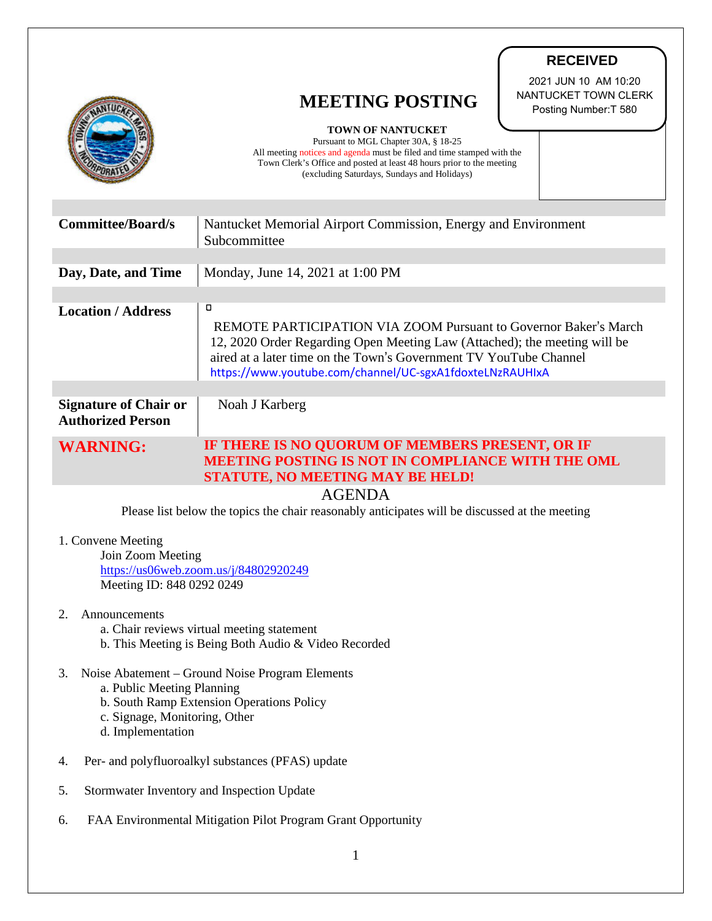|                                                                                                                                                                                        | <b>RECEIVED</b>                                                                                                                                                                                                                                                                            |
|----------------------------------------------------------------------------------------------------------------------------------------------------------------------------------------|--------------------------------------------------------------------------------------------------------------------------------------------------------------------------------------------------------------------------------------------------------------------------------------------|
|                                                                                                                                                                                        | 2021 JUN 10 AM 10:20<br>NANTUCKET TOWN CLERK<br><b>MEETING POSTING</b><br>Posting Number: T 580                                                                                                                                                                                            |
|                                                                                                                                                                                        | <b>TOWN OF NANTUCKET</b><br>Pursuant to MGL Chapter 30A, § 18-25<br>All meeting notices and agenda must be filed and time stamped with the<br>Town Clerk's Office and posted at least 48 hours prior to the meeting<br>(excluding Saturdays, Sundays and Holidays)                         |
| <b>Committee/Board/s</b>                                                                                                                                                               | Nantucket Memorial Airport Commission, Energy and Environment<br>Subcommittee                                                                                                                                                                                                              |
| Day, Date, and Time                                                                                                                                                                    | Monday, June 14, 2021 at 1:00 PM                                                                                                                                                                                                                                                           |
| <b>Location / Address</b>                                                                                                                                                              | о<br><b>REMOTE PARTICIPATION VIA ZOOM Pursuant to Governor Baker's March</b><br>12, 2020 Order Regarding Open Meeting Law (Attached); the meeting will be<br>aired at a later time on the Town's Government TV YouTube Channel<br>https://www.youtube.com/channel/UC-sgxA1fdoxteLNzRAUHIxA |
| <b>Signature of Chair or</b><br><b>Authorized Person</b>                                                                                                                               | Noah J Karberg                                                                                                                                                                                                                                                                             |
| <b>WARNING:</b>                                                                                                                                                                        | IF THERE IS NO QUORUM OF MEMBERS PRESENT, OR IF<br><b>MEETING POSTING IS NOT IN COMPLIANCE WITH THE OML</b><br><b>STATUTE, NO MEETING MAY BE HELD!</b>                                                                                                                                     |
| <b>AGENDA</b><br>Please list below the topics the chair reasonably anticipates will be discussed at the meeting                                                                        |                                                                                                                                                                                                                                                                                            |
| 1. Convene Meeting<br>Join Zoom Meeting<br>https://us06web.zoom.us/j/84802920249<br>Meeting ID: 848 0292 0249                                                                          |                                                                                                                                                                                                                                                                                            |
| 2.<br>Announcements<br>a. Chair reviews virtual meeting statement<br>b. This Meeting is Being Both Audio & Video Recorded                                                              |                                                                                                                                                                                                                                                                                            |
| Noise Abatement – Ground Noise Program Elements<br>3.<br>a. Public Meeting Planning<br>b. South Ramp Extension Operations Policy<br>c. Signage, Monitoring, Other<br>d. Implementation |                                                                                                                                                                                                                                                                                            |
| Per- and polyfluoroalkyl substances (PFAS) update<br>4.                                                                                                                                |                                                                                                                                                                                                                                                                                            |

- 5. Stormwater Inventory and Inspection Update
- 6. FAA Environmental Mitigation Pilot Program Grant Opportunity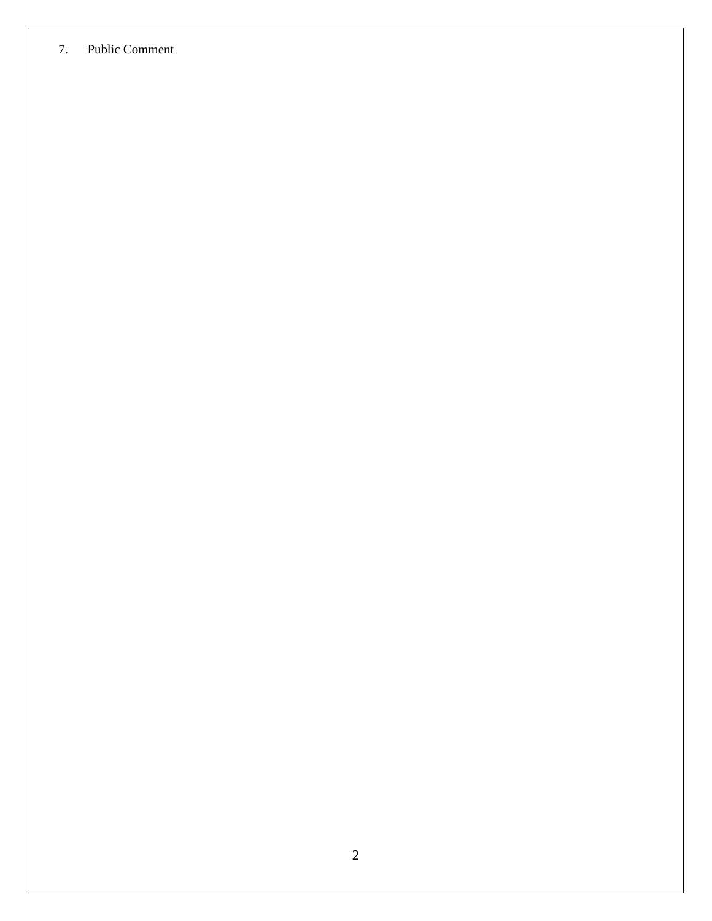## 7. Public Comment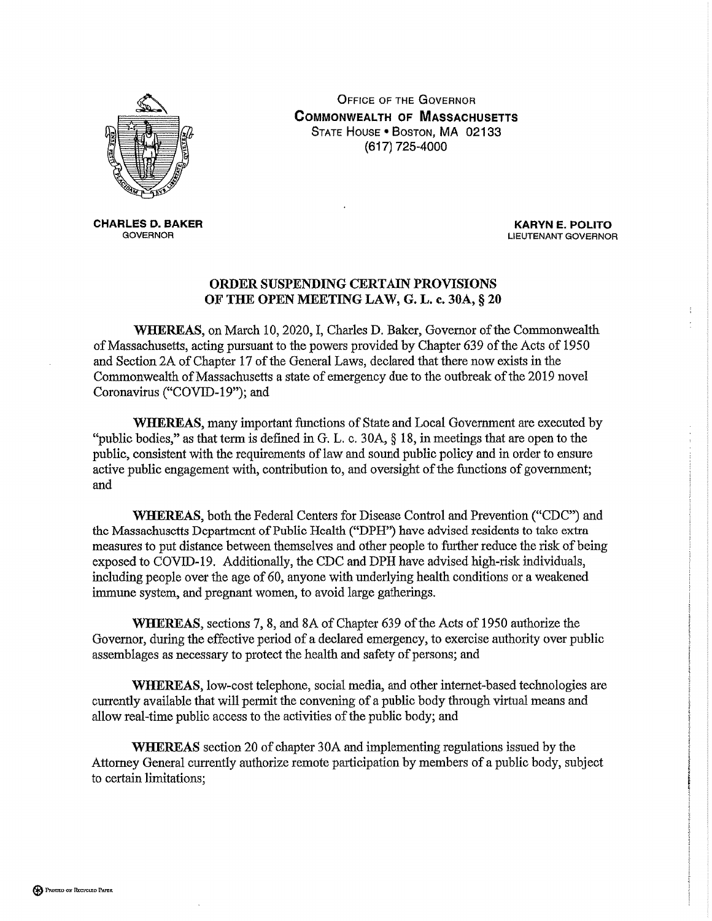

**CHARLES D. BAKER GOVERNOR** 

**OFFICE OF THE GOVERNOR COMMONWEALTH OF MASSACHUSETTS** STATE HOUSE . BOSTON, MA 02133 (617) 725-4000

> **KARYN E. POLITO LIEUTENANT GOVERNOR**

## **ORDER SUSPENDING CERTAIN PROVISIONS** OF THE OPEN MEETING LAW, G. L. c. 30A, § 20

WHEREAS, on March 10, 2020, I, Charles D. Baker, Governor of the Commonwealth of Massachusetts, acting pursuant to the powers provided by Chapter 639 of the Acts of 1950 and Section 2A of Chapter 17 of the General Laws, declared that there now exists in the Commonwealth of Massachusetts a state of emergency due to the outbreak of the 2019 novel Coronavirus ("COVID-19"); and

WHEREAS, many important functions of State and Local Government are executed by "public bodies," as that term is defined in G. L. c. 30A,  $\S$  18, in meetings that are open to the public, consistent with the requirements of law and sound public policy and in order to ensure active public engagement with, contribution to, and oversight of the functions of government; and

**WHEREAS**, both the Federal Centers for Disease Control and Prevention ("CDC") and the Massachusetts Department of Public Health ("DPH") have advised residents to take extra measures to put distance between themselves and other people to further reduce the risk of being exposed to COVID-19. Additionally, the CDC and DPH have advised high-risk individuals, including people over the age of 60, anyone with underlying health conditions or a weakened immune system, and pregnant women, to avoid large gatherings.

WHEREAS, sections 7, 8, and 8A of Chapter 639 of the Acts of 1950 authorize the Governor, during the effective period of a declared emergency, to exercise authority over public assemblages as necessary to protect the health and safety of persons; and

WHEREAS, low-cost telephone, social media, and other internet-based technologies are currently available that will permit the convening of a public body through virtual means and allow real-time public access to the activities of the public body; and

**WHEREAS** section 20 of chapter 30A and implementing regulations issued by the Attorney General currently authorize remote participation by members of a public body, subject to certain limitations;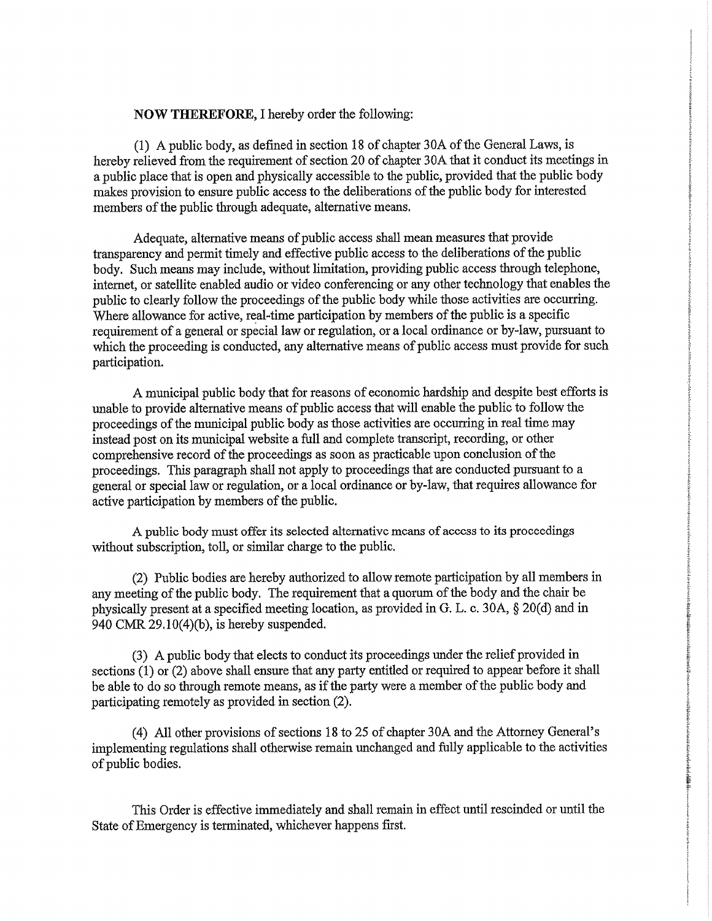## **NOW THEREFORE, I hereby order the following:**

(1) A public body, as defined in section 18 of chapter 30A of the General Laws, is hereby relieved from the requirement of section 20 of chapter 30A that it conduct its meetings in a public place that is open and physically accessible to the public, provided that the public body makes provision to ensure public access to the deliberations of the public body for interested members of the public through adequate, alternative means.

Adequate, alternative means of public access shall mean measures that provide transparency and permit timely and effective public access to the deliberations of the public body. Such means may include, without limitation, providing public access through telephone, internet, or satellite enabled audio or video conferencing or any other technology that enables the public to clearly follow the proceedings of the public body while those activities are occurring. Where allowance for active, real-time participation by members of the public is a specific requirement of a general or special law or regulation, or a local ordinance or by-law, pursuant to which the proceeding is conducted, any alternative means of public access must provide for such participation.

A municipal public body that for reasons of economic hardship and despite best efforts is unable to provide alternative means of public access that will enable the public to follow the proceedings of the municipal public body as those activities are occurring in real time may instead post on its municipal website a full and complete transcript, recording, or other comprehensive record of the proceedings as soon as practicable upon conclusion of the proceedings. This paragraph shall not apply to proceedings that are conducted pursuant to a general or special law or regulation, or a local ordinance or by-law, that requires allowance for active participation by members of the public.

A public body must offer its selected alternative means of access to its proceedings without subscription, toll, or similar charge to the public.

(2) Public bodies are hereby authorized to allow remote participation by all members in any meeting of the public body. The requirement that a quorum of the body and the chair be physically present at a specified meeting location, as provided in G. L. c. 30A, § 20(d) and in 940 CMR  $29.10(4)(b)$ , is hereby suspended.

(3) A public body that elects to conduct its proceedings under the relief provided in sections (1) or (2) above shall ensure that any party entitled or required to appear before it shall be able to do so through remote means, as if the party were a member of the public body and participating remotely as provided in section (2).

(4) All other provisions of sections 18 to 25 of chapter 30A and the Attorney General's implementing regulations shall otherwise remain unchanged and fully applicable to the activities of public bodies.

indeballs.

This Order is effective immediately and shall remain in effect until rescinded or until the State of Emergency is terminated, whichever happens first.